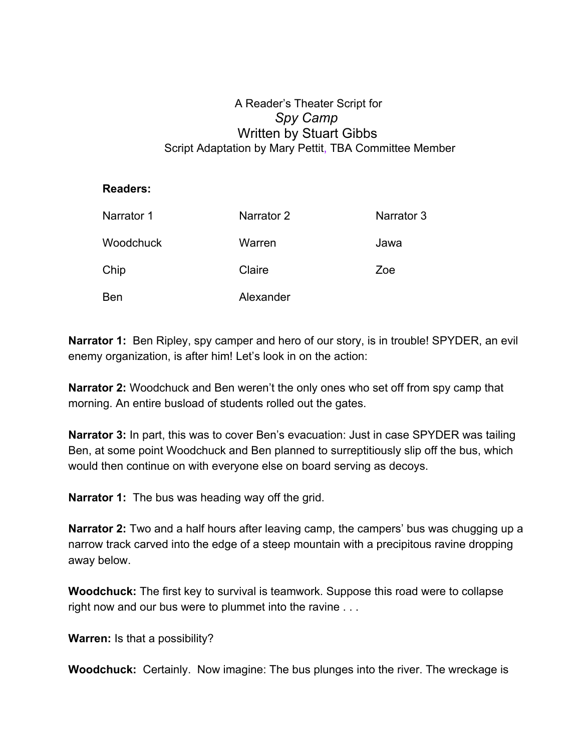## A Reader's Theater Script for *Spy Camp* Written by Stuart Gibbs Script Adaptation by Mary Pettit, TBA Committee Member

## **Readers:**

| Narrator 1 | Narrator 2 | Narrator 3 |
|------------|------------|------------|
| Woodchuck  | Warren     | Jawa       |
| Chip       | Claire     | Zoe        |
| Ben        | Alexander  |            |

**Narrator 1:** Ben Ripley, spy camper and hero of our story, is in trouble! SPYDER, an evil enemy organization, is after him! Let's look in on the action:

**Narrator 2:** Woodchuck and Ben weren't the only ones who set off from spy camp that morning. An entire busload of students rolled out the gates.

**Narrator 3:** In part, this was to cover Ben's evacuation: Just in case SPYDER was tailing Ben, at some point Woodchuck and Ben planned to surreptitiously slip off the bus, which would then continue on with everyone else on board serving as decoys.

**Narrator 1:** The bus was heading way off the grid.

**Narrator 2:** Two and a half hours after leaving camp, the campers' bus was chugging up a narrow track carved into the edge of a steep mountain with a precipitous ravine dropping away below.

**Woodchuck:** The first key to survival is teamwork. Suppose this road were to collapse right now and our bus were to plummet into the ravine . . .

**Warren:** Is that a possibility?

**Woodchuck:** Certainly. Now imagine: The bus plunges into the river. The wreckage is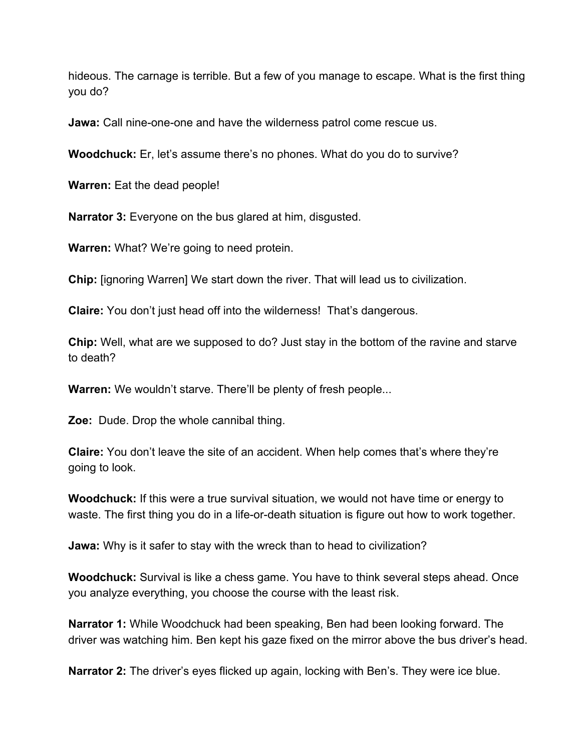hideous. The carnage is terrible. But a few of you manage to escape. What is the first thing you do?

**Jawa:** Call nine-one-one and have the wilderness patrol come rescue us.

**Woodchuck:** Er, let's assume there's no phones. What do you do to survive?

**Warren:** Eat the dead people!

**Narrator 3:** Everyone on the bus glared at him, disgusted.

**Warren:** What? We're going to need protein.

**Chip:** [ignoring Warren] We start down the river. That will lead us to civilization.

**Claire:** You don't just head off into the wilderness! That's dangerous.

**Chip:** Well, what are we supposed to do? Just stay in the bottom of the ravine and starve to death?

**Warren:** We wouldn't starve. There'll be plenty of fresh people...

**Zoe:** Dude. Drop the whole cannibal thing.

**Claire:** You don't leave the site of an accident. When help comes that's where they're going to look.

**Woodchuck:** If this were a true survival situation, we would not have time or energy to waste. The first thing you do in a life-or-death situation is figure out how to work together.

**Jawa:** Why is it safer to stay with the wreck than to head to civilization?

**Woodchuck:** Survival is like a chess game. You have to think several steps ahead. Once you analyze everything, you choose the course with the least risk.

**Narrator 1:** While Woodchuck had been speaking, Ben had been looking forward. The driver was watching him. Ben kept his gaze fixed on the mirror above the bus driver's head.

**Narrator 2:** The driver's eyes flicked up again, locking with Ben's. They were ice blue.